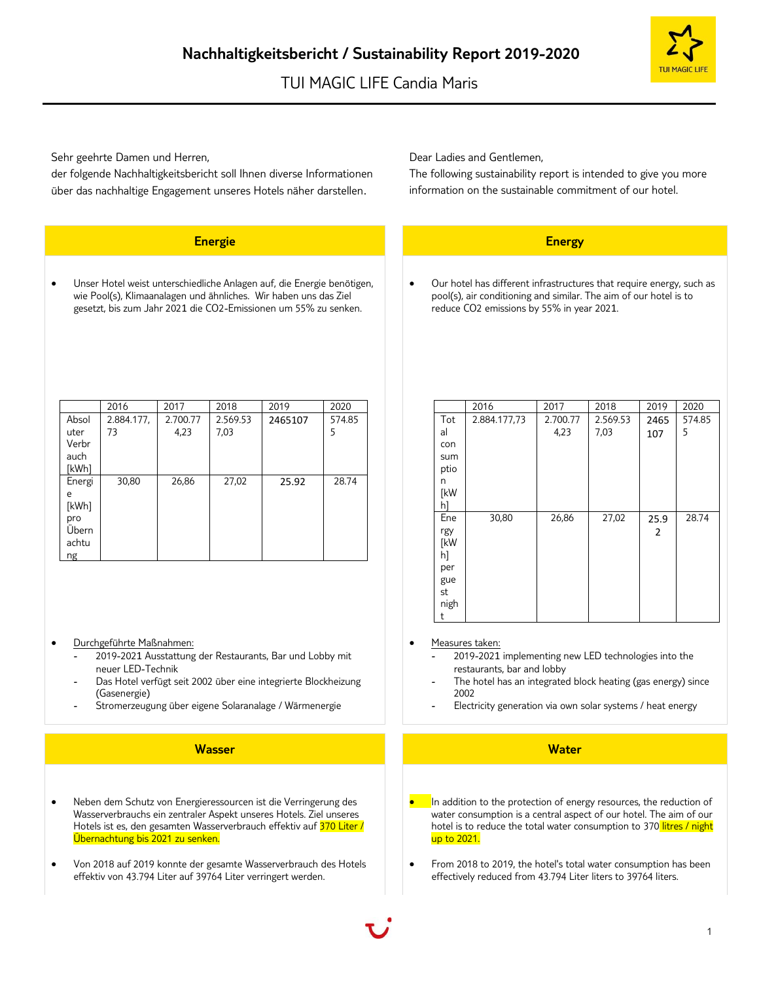Sehr geehrte Damen und Herren,

der folgende Nachhaltigkeitsbericht soll Ihnen diverse Informationen über das nachhaltige Engagement unseres Hotels näher darstellen.

## **Energie Energy**

• Unser Hotel weist unterschiedliche Anlagen auf, die Energie benötigen, wie Pool(s), Klimaanalagen und ähnliches. Wir haben uns das Ziel gesetzt, bis zum Jahr 2021 die CO2-Emissionen um 55% zu senken.

|                        | 2016             | 2017             | 2018             | 2019    | 2020        |
|------------------------|------------------|------------------|------------------|---------|-------------|
| Absol<br>uter<br>Verbr | 2.884.177,<br>73 | 2.700.77<br>4,23 | 2.569.53<br>7,03 | 2465107 | 574.85<br>5 |
| auch<br>[kWh]          |                  |                  |                  |         |             |
| Energi                 | 30,80            | 26,86            | 27,02            | 25.92   | 28.74       |
| e<br>[kWh]             |                  |                  |                  |         |             |
| pro<br>Übern           |                  |                  |                  |         |             |
| achtu                  |                  |                  |                  |         |             |
| ng                     |                  |                  |                  |         |             |

- Durchgeführte Maßnahmen:
	- 2019-2021 Ausstattung der Restaurants, Bar und Lobby mit neuer LED-Technik
	- Das Hotel verfügt seit 2002 über eine integrierte Blockheizung (Gasenergie)
	- Stromerzeugung über eigene Solaranalage / Wärmenergie

### **Wasser Water**

- Neben dem Schutz von Energieressourcen ist die Verringerung des Wasserverbrauchs ein zentraler Aspekt unseres Hotels. Ziel unseres Hotels ist es, den gesamten Wasserverbrauch effektiv auf 370 Liter / Übernachtung bis 2021 zu senken.
- Von 2018 auf 2019 konnte der gesamte Wasserverbrauch des Hotels effektiv von 43.794 Liter auf 39764 Liter verringert werden.

Dear Ladies and Gentlemen,

The following sustainability report is intended to give you more information on the sustainable commitment of our hotel.

• Our hotel has different infrastructures that require energy, such as pool(s), air conditioning and similar. The aim of our hotel is to reduce CO2 emissions by 55% in year 2021.

|      | 2016         | 2017     | 2018     | 2019 | 2020   |
|------|--------------|----------|----------|------|--------|
| Tot  | 2.884.177,73 | 2.700.77 | 2.569.53 | 2465 | 574.85 |
| al   |              | 4,23     | 7,03     | 107  | 5      |
| con  |              |          |          |      |        |
| sum  |              |          |          |      |        |
| ptio |              |          |          |      |        |
| n    |              |          |          |      |        |
| [kW  |              |          |          |      |        |
| hl   |              |          |          |      |        |
| Ene  | 30,80        | 26,86    | 27,02    | 25.9 | 28.74  |
| rgy  |              |          |          | 2    |        |
| [kW  |              |          |          |      |        |
| h]   |              |          |          |      |        |
| per  |              |          |          |      |        |
| gue  |              |          |          |      |        |
| st   |              |          |          |      |        |
| nigh |              |          |          |      |        |
| t    |              |          |          |      |        |

### Measures taken:

- 2019-2021 implementing new LED technologies into the restaurants, bar and lobby
- The hotel has an integrated block heating (gas energy) since 2002
- Electricity generation via own solar systems / heat energy

- $\bullet$  In addition to the protection of energy resources, the reduction of water consumption is a central aspect of our hotel. The aim of our hotel is to reduce the total water consumption to 370 litres / night up to 2021.
- From 2018 to 2019, the hotel's total water consumption has been effectively reduced from 43.794 Liter liters to 39764 liters.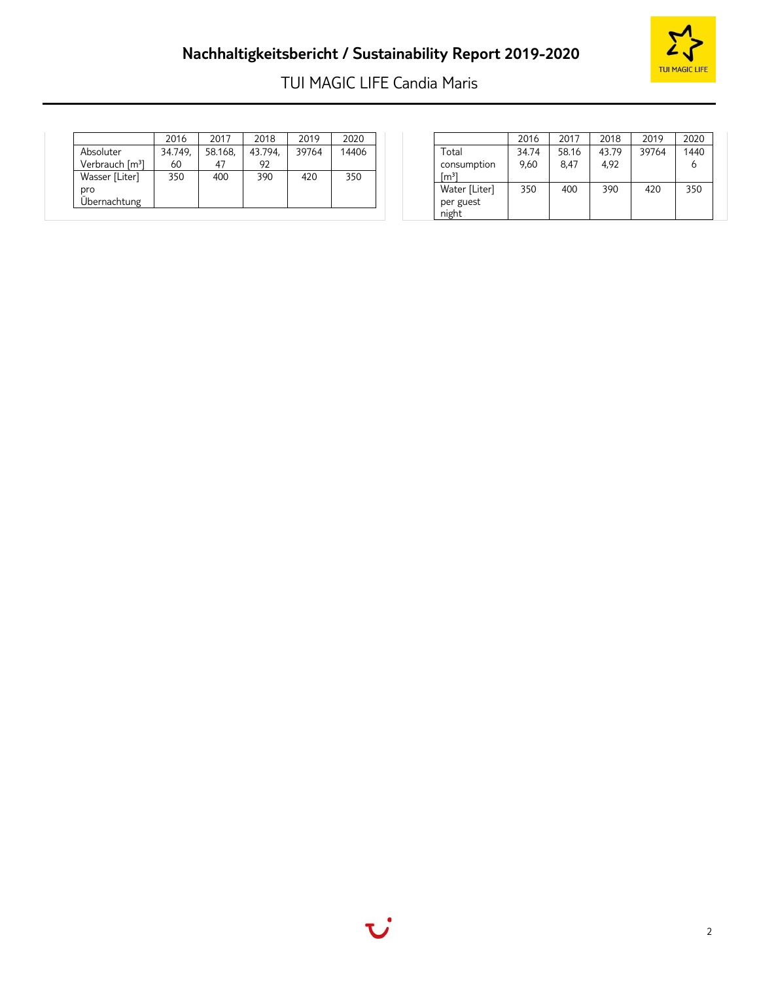# **Nachhaltigkeitsbericht / Sustainability Report 2019-2020**



# TUI MAGIC LIFE Candia Maris

|                             | 2016    | 2017    | 2018    | 2019  | 2020  |
|-----------------------------|---------|---------|---------|-------|-------|
| Absoluter                   | 34.749, | 58.168, | 43.794, | 39764 | 14406 |
| Verbrauch [m <sup>3</sup> ] | 60      |         | 92      |       |       |
| Wasser [Liter]              | 350     | 400     | 390     | 420   | 350   |
| pro<br>Übernachtung         |         |         |         |       |       |

|                                     | 2016  | 2017  | 2018  | 2019  | 2020 |
|-------------------------------------|-------|-------|-------|-------|------|
| Total                               | 34.74 | 58.16 | 43.79 | 39764 | 1440 |
| consumption<br>$\mathsf{[m^3]}$     | 9.60  | 8.47  | 4.92  |       | b    |
| Water [Liter]<br>per guest<br>night | 350   | 400   | 390   | 420   | 350  |

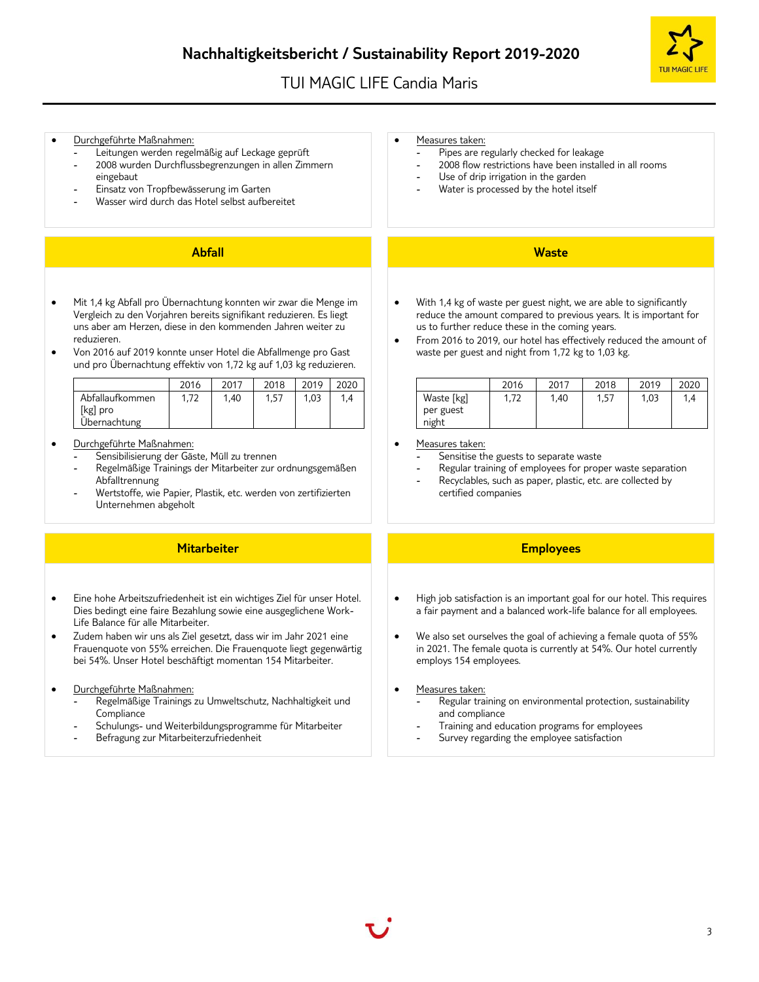## **Nachhaltigkeitsbericht / Sustainability Report 2019-2020**

## TUI MAGIC LIFE Candia Maris



### • Durchgeführte Maßnahmen:

- Leitungen werden regelmäßig auf Leckage geprüft
- 2008 wurden Durchflussbegrenzungen in allen Zimmern eingebaut
- Einsatz von Tropfbewässerung im Garten
- Wasser wird durch das Hotel selbst aufbereitet

## **Abfall Waste**

- Mit 1,4 kg Abfall pro Übernachtung konnten wir zwar die Menge im Vergleich zu den Vorjahren bereits signifikant reduzieren. Es liegt uns aber am Herzen, diese in den kommenden Jahren weiter zu reduzieren.
- Von 2016 auf 2019 konnte unser Hotel die Abfallmenge pro Gast und pro Übernachtung effektiv von 1,72 kg auf 1,03 kg reduzieren.

|                                             | 2016 | 2017 | 2018 | 2019 |     |
|---------------------------------------------|------|------|------|------|-----|
| Abfallaufkommen<br>[kg] pro<br>Übernachtung | 1,72 | 1.40 | 1.57 | 1.03 | 1.4 |

- Durchgeführte Maßnahmen:
	- Sensibilisierung der Gäste, Müll zu trennen
	- Regelmäßige Trainings der Mitarbeiter zur ordnungsgemäßen Abfalltrennung
	- Wertstoffe, wie Papier, Plastik, etc. werden von zertifizierten Unternehmen abgeholt

### **Mitarbeiter Employees**

- Eine hohe Arbeitszufriedenheit ist ein wichtiges Ziel für unser Hotel. Dies bedingt eine faire Bezahlung sowie eine ausgeglichene Work-Life Balance für alle Mitarbeiter.
- Zudem haben wir uns als Ziel gesetzt, dass wir im Jahr 2021 eine Frauenquote von 55% erreichen. Die Frauenquote liegt gegenwärtig bei 54%. Unser Hotel beschäftigt momentan 154 Mitarbeiter.
- Durchgeführte Maßnahmen:
	- Regelmäßige Trainings zu Umweltschutz, Nachhaltigkeit und Compliance
	- Schulungs- und Weiterbildungsprogramme für Mitarbeiter
	- Befragung zur Mitarbeiterzufriedenheit

### Measures taken:

- Pipes are regularly checked for leakage
- 2008 flow restrictions have been installed in all rooms
- Use of drip irrigation in the garden
- Water is processed by the hotel itself

- With 1,4 kg of waste per guest night, we are able to significantly reduce the amount compared to previous years. It is important for us to further reduce these in the coming years.
- From 2016 to 2019, our hotel has effectively reduced the amount of waste per guest and night from 1,72 kg to 1,03 kg.

|                                  | 2016 | 2017 | 2018 | 2019 | 2020 |
|----------------------------------|------|------|------|------|------|
| Waste [kg]<br>per guest<br>night | 1,72 | 1,40 | 1,57 | 1,03 | 1,4  |

- Measures taken:
	- Sensitise the guests to separate waste
	- Regular training of employees for proper waste separation
	- Recyclables, such as paper, plastic, etc. are collected by certified companies

- High job satisfaction is an important goal for our hotel. This requires a fair payment and a balanced work-life balance for all employees.
- We also set ourselves the goal of achieving a female quota of 55% in 2021. The female quota is currently at 54%. Our hotel currently employs 154 employees.
- Measures taken:
	- Regular training on environmental protection, sustainability and compliance
	- Training and education programs for employees
	- Survey regarding the employee satisfaction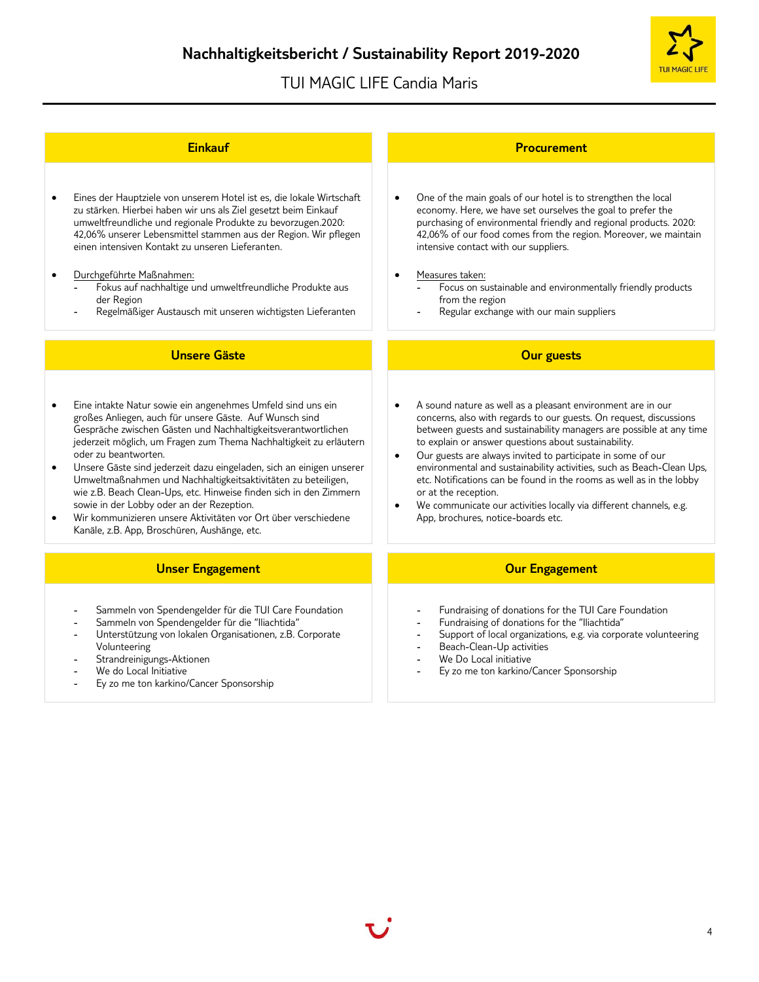

| <b>Einkauf</b>                                                                                                                                                                                                                                                                                                                                                                                                                                                                                                                                                                                                                                                                                             | <b>Procurement</b>                                                                                                                                                                                                                                                                                                                                                                                                                                                                                                                                                                                                                |
|------------------------------------------------------------------------------------------------------------------------------------------------------------------------------------------------------------------------------------------------------------------------------------------------------------------------------------------------------------------------------------------------------------------------------------------------------------------------------------------------------------------------------------------------------------------------------------------------------------------------------------------------------------------------------------------------------------|-----------------------------------------------------------------------------------------------------------------------------------------------------------------------------------------------------------------------------------------------------------------------------------------------------------------------------------------------------------------------------------------------------------------------------------------------------------------------------------------------------------------------------------------------------------------------------------------------------------------------------------|
| Eines der Hauptziele von unserem Hotel ist es, die lokale Wirtschaft<br>$\bullet$<br>zu stärken. Hierbei haben wir uns als Ziel gesetzt beim Einkauf<br>umweltfreundliche und regionale Produkte zu bevorzugen.2020:<br>42,06% unserer Lebensmittel stammen aus der Region. Wir pflegen<br>einen intensiven Kontakt zu unseren Lieferanten.<br>Durchgeführte Maßnahmen:<br>$\bullet$<br>Fokus auf nachhaltige und umweltfreundliche Produkte aus<br>der Region<br>Regelmäßiger Austausch mit unseren wichtigsten Lieferanten                                                                                                                                                                               | One of the main goals of our hotel is to strengthen the local<br>$\bullet$<br>economy. Here, we have set ourselves the goal to prefer the<br>purchasing of environmental friendly and regional products. 2020:<br>42,06% of our food comes from the region. Moreover, we maintain<br>intensive contact with our suppliers.<br>Measures taken:<br>$\bullet$<br>Focus on sustainable and environmentally friendly products<br>from the region<br>Regular exchange with our main suppliers                                                                                                                                           |
| <b>Unsere Gäste</b>                                                                                                                                                                                                                                                                                                                                                                                                                                                                                                                                                                                                                                                                                        | <b>Our guests</b>                                                                                                                                                                                                                                                                                                                                                                                                                                                                                                                                                                                                                 |
| Eine intakte Natur sowie ein angenehmes Umfeld sind uns ein<br>$\bullet$<br>großes Anliegen, auch für unsere Gäste. Auf Wunsch sind<br>Gespräche zwischen Gästen und Nachhaltigkeitsverantwortlichen<br>jederzeit möglich, um Fragen zum Thema Nachhaltigkeit zu erläutern<br>oder zu beantworten.<br>Unsere Gäste sind jederzeit dazu eingeladen, sich an einigen unserer<br>$\bullet$<br>Umweltmaßnahmen und Nachhaltigkeitsaktivitäten zu beteiligen,<br>wie z.B. Beach Clean-Ups, etc. Hinweise finden sich in den Zimmern<br>sowie in der Lobby oder an der Rezeption.<br>Wir kommunizieren unsere Aktivitäten vor Ort über verschiedene<br>$\bullet$<br>Kanäle, z.B. App, Broschüren, Aushänge, etc. | A sound nature as well as a pleasant environment are in our<br>concerns, also with regards to our guests. On request, discussions<br>between guests and sustainability managers are possible at any time<br>to explain or answer questions about sustainability.<br>Our guests are always invited to participate in some of our<br>$\bullet$<br>environmental and sustainability activities, such as Beach-Clean Ups,<br>etc. Notifications can be found in the rooms as well as in the lobby<br>or at the reception.<br>We communicate our activities locally via different channels, e.g.<br>App, brochures, notice-boards etc. |
| <b>Unser Engagement</b>                                                                                                                                                                                                                                                                                                                                                                                                                                                                                                                                                                                                                                                                                    | <b>Our Engagement</b>                                                                                                                                                                                                                                                                                                                                                                                                                                                                                                                                                                                                             |
| Sammeln von Spendengelder für die TUI Care Foundation<br>Sammeln von Spendengelder für die "Iliachtida"<br>Unterstützung von lokalen Organisationen, z.B. Corporate<br>Volunteering<br>Strandreinigungs-Aktionen<br>We do Local Initiative<br>Ey zo me ton karkino/Cancer Sponsorship                                                                                                                                                                                                                                                                                                                                                                                                                      | Fundraising of donations for the TUI Care Foundation<br>Fundraising of donations for the "Iliachtida"<br>$\overline{\phantom{a}}$<br>Support of local organizations, e.g. via corporate volunteering<br>Beach-Clean-Up activities<br>$\blacksquare$<br>We Do Local initiative<br>Ey zo me ton karkino/Cancer Sponsorship                                                                                                                                                                                                                                                                                                          |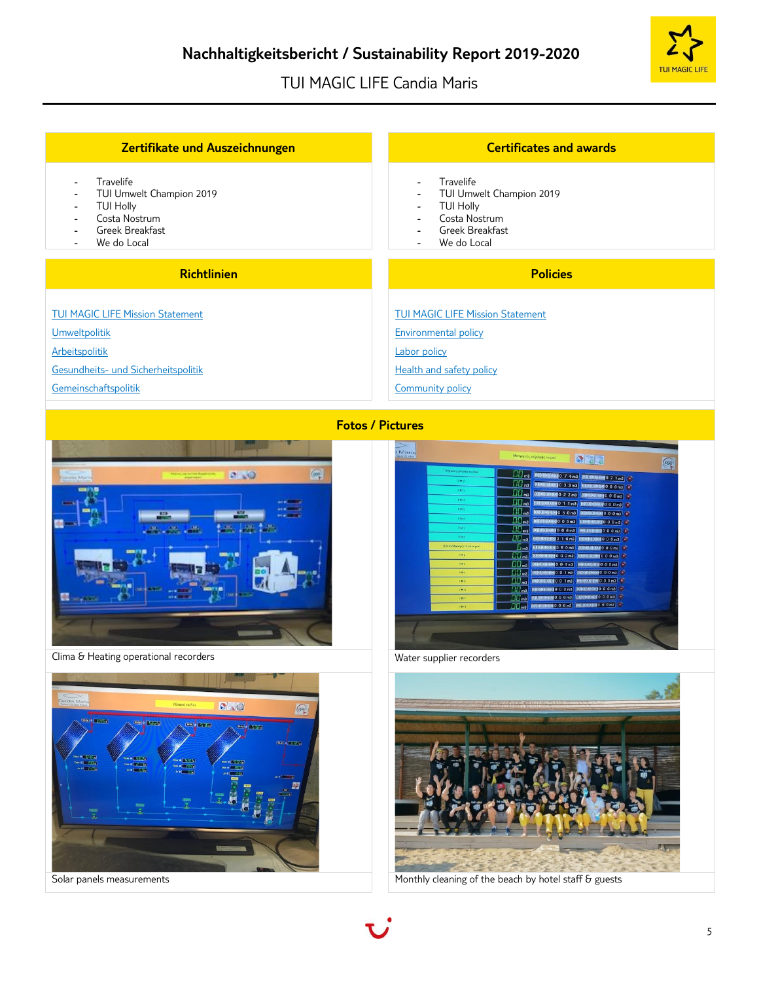

| Zertifikate und Auszeichnungen                                                                                                                                                                                                       | <b>Certificates and awards</b>                                                                                                                                                                                                                 |
|--------------------------------------------------------------------------------------------------------------------------------------------------------------------------------------------------------------------------------------|------------------------------------------------------------------------------------------------------------------------------------------------------------------------------------------------------------------------------------------------|
| Travelife<br>$\blacksquare$<br>TUI Umwelt Champion 2019<br>$\overline{\phantom{a}}$<br><b>TUI Holly</b><br>$\overline{\phantom{a}}$<br>Costa Nostrum<br>$\overline{\phantom{a}}$<br>Greek Breakfast<br>$\blacksquare$<br>We do Local | Travelife<br>$\overline{\phantom{0}}$<br>TUI Umwelt Champion 2019<br>$\blacksquare$<br><b>TUI Holly</b><br>$\overline{\phantom{a}}$<br>Costa Nostrum<br>$\overline{\phantom{0}}$<br>Greek Breakfast<br>$\overline{\phantom{0}}$<br>We do Local |
|                                                                                                                                                                                                                                      |                                                                                                                                                                                                                                                |
| <b>Richtlinien</b>                                                                                                                                                                                                                   | <b>Policies</b>                                                                                                                                                                                                                                |
| <b>TUI MAGIC LIFE Mission Statement</b>                                                                                                                                                                                              | <b>TUI MAGIC LIFE Mission Statement</b>                                                                                                                                                                                                        |
| <b>Umweltpolitik</b>                                                                                                                                                                                                                 | <b>Environmental policy</b>                                                                                                                                                                                                                    |
| Arbeitspolitik                                                                                                                                                                                                                       | Labor policy                                                                                                                                                                                                                                   |
| Gesundheits- und Sicherheitspolitik                                                                                                                                                                                                  | Health and safety policy                                                                                                                                                                                                                       |





Clima & Heating operational recorders • Water supplier recorders • Water supplier recorders







Solar panels measurements **Monthly cleaning of the beach by hotel staff & guests**